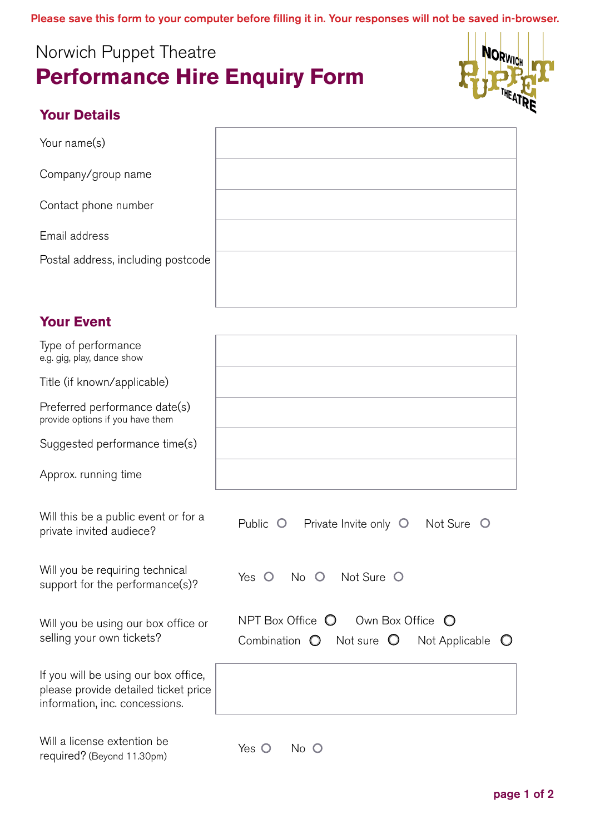Please save this form to your computer before filling it in. Your responses will not be saved in-browser.

## Norwich Puppet Theatre **Performance Hire Enquiry Form**



## **Your Details**

Your name(s)

Company/group name

Contact phone number

Email address

Postal address, including postcode

## **Your Event**

| Type of performance<br>e.g. gig, play, dance show                                                              |                                                                                                                                      |
|----------------------------------------------------------------------------------------------------------------|--------------------------------------------------------------------------------------------------------------------------------------|
| Title (if known/applicable)                                                                                    |                                                                                                                                      |
| Preferred performance date(s)<br>provide options if you have them                                              |                                                                                                                                      |
| Suggested performance time(s)                                                                                  |                                                                                                                                      |
| Approx. running time                                                                                           |                                                                                                                                      |
| Will this be a public event or for a<br>private invited audiece?                                               | Not Sure O<br>Public O<br>Private Invite only O                                                                                      |
| Will you be requiring technical<br>support for the performance(s)?                                             | Not Sure O<br>$\circ$<br>Yes<br>No O                                                                                                 |
| Will you be using our box office or<br>selling your own tickets?                                               | NPT Box Office $\bigcirc$<br>Own Box Office<br>$\circ$<br>Not sure $\bigcirc$<br>Combination $\bigcirc$<br>Not Applicable $\bigcirc$ |
| If you will be using our box office,<br>please provide detailed ticket price<br>information, inc. concessions. |                                                                                                                                      |
| Will a license extention be<br>required? (Beyond 11.30pm)                                                      | Yes $\bigcirc$<br>No O                                                                                                               |